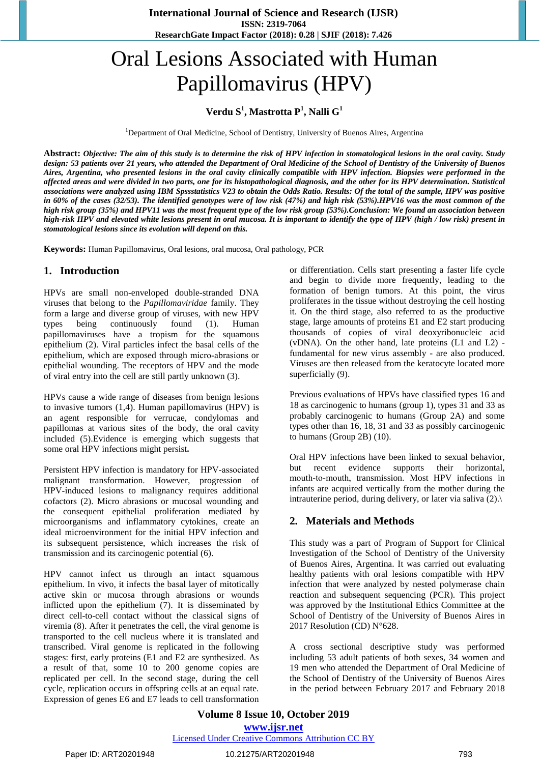**International Journal of Science and Research (IJSR) ISSN: 2319-7064 ResearchGate Impact Factor (2018): 0.28 | SJIF (2018): 7.426**

# Oral Lesions Associated with Human Papillomavirus (HPV)

# **Verdu S 1 , Mastrotta P 1 , Nalli G 1**

<sup>1</sup>Department of Oral Medicine, School of Dentistry, University of Buenos Aires, Argentina

Abstract: Objective: The aim of this study is to determine the risk of HPV infection in stomatological lesions in the oral cavity. Study design: 53 patients over 21 years, who attended the Department of Oral Medicine of the School of Dentistry of the University of Buenos Aires, Argentina, who presented lesions in the oral cavity clinically compatible with HPV infection. Biopsies were performed in the affected areas and were divided in two parts, one for its histopathological diagnosis, and the other for its HPV determination. Statistical associations were analyzed using IBM Spssstatistics V23 to obtain the Odds Ratio. Results: Of the total of the sample, HPV was positive in 60% of the cases (32/53). The identified genotypes were of low risk (47%) and high risk (53%). HPV16 was the most common of the high risk group (35%) and HPV11 was the most frequent type of the low risk group (53%). Conclusion: We found an association between high-risk HPV and elevated white lesions present in oral mucosa. It is important to identify the type of HPV (high / low risk) present in *stomatological lesions since its evolution will depend on this.*

**Keywords:** Human Papillomavirus, Oral lesions, oral mucosa, Oral pathology, PCR

## **1. Introduction**

HPVs are small [non-enveloped](https://www.sciencedirect.com/topics/immunology-and-microbiology/viral-envelope) [double-stranded](https://www.sciencedirect.com/topics/medicine-and-dentistry/double-stranded-dna-virus) DNA [viruses](https://www.sciencedirect.com/topics/medicine-and-dentistry/double-stranded-dna-virus) that belong to the *Papillomaviridae* family. They form a large and diverse group of viruses, with new HPV types being continuously found (1). Human papillomaviruses have a tropism for the squamous epithelium (2). Viral particles infect the basal cells of the epithelium, which are exposed through micro‐abrasions or epithelial wounding. The receptors of HPV and the mode of viral entry into the cell are still partly unknown (3).

HPVs cause a wide range of diseases from benign lesions to invasive tumors (1,4). Human papillomavirus (HPV) is an agent responsible for verrucae, condylomas and papillomas at various sites of the body, the oral cavity included (5).Evidence is emerging which suggests that some oral HPV infections might persist**.**

Persistent HPV infection is mandatory for HPV‐associated malignant transformation. However, progression of HPV‐induced lesions to malignancy requires additional cofactors (2). Micro abrasions or mucosal wounding and the consequent epithelial proliferation mediated by microorganisms and inflammatory cytokines, create an ideal microenvironment for the initial HPV infection and its subsequent persistence, which increases the risk of transmission and its carcinogenic potential (6).

HPV cannot infect us through an intact squamous epithelium. In vivo, it infects the basal layer of mitotically active skin or mucosa through abrasions or wounds inflicted upon the epithelium (7). It is disseminated by direct cell-to-cell contact without the classical signs of viremia (8). After it penetrates the cell, the viral genome is transported to the cell nucleus where it is translated and transcribed. Viral genome is replicated in the following stages: first, early proteins (E1 and E2 are synthesized. As a result of that, some 10 to 200 genome copies are replicated per cell. In the second stage, during the cell cycle, replication occurs in offspring cells at an equal rate. Expression of genes E6 and E7 leads to cell transformation or differentiation. Cells start presenting a faster life cycle and begin to divide more frequently, leading to the formation of benign tumors. At this point, the virus proliferates in the tissue without destroying the cell hosting it. On the third stage, also referred to as the productive stage, large amounts of proteins E1 and E2 start producing thousands of copies of viral deoxyribonucleic acid (vDNA). On the other hand, late proteins (L1 and L2) fundamental for new virus assembly - are also produced. Viruses are then released from the keratocyte located more superficially (9).

Previous evaluations of HPVs have classified types 16 and 18 as carcinogenic to humans (group 1), types 31 and 33 as probably carcinogenic to humans (Group 2A) and some types other than 16, 18, 31 and 33 as possibly carcinogenic to humans (Group 2B) (10).

Oral HPV infections have been linked to sexual behavior, but recent evidence supports their horizontal, mouth‐to‐mouth, transmission. Most HPV infections in infants are acquired vertically from the mother during the intrauterine period, during delivery, or later via saliva (2).\

## **2. Materials and Methods**

This study was a part of Program of Support for Clinical Investigation of the School of Dentistry of the University of Buenos Aires, Argentina. It was carried out evaluating healthy patients with oral lesions compatible with HPV infection that were analyzed by nested polymerase chain reaction and subsequent sequencing (PCR). This project was approved by the Institutional Ethics Committee at the School of Dentistry of the University of Buenos Aires in 2017 Resolution (CD) N°628.

A cross sectional descriptive study was performed including 53 adult patients of both sexes, 34 women and 19 men who attended the Department of Oral Medicine of the School of Dentistry of the University of Buenos Aires in the period between February 2017 and February 2018

**Volume 8 Issue 10, October 2019 www.ijsr.net** Licensed Under Creative Commons Attribution CC BY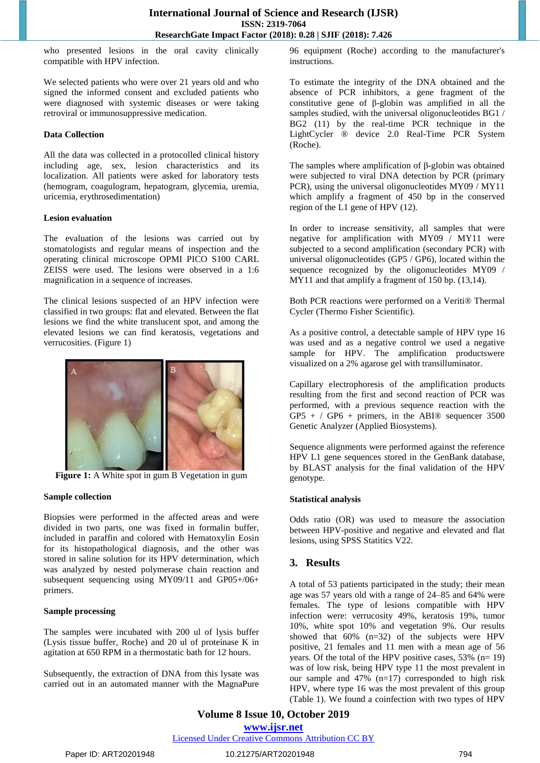who presented lesions in the oral cavity clinically compatible with HPV infection.

We selected patients who were over 21 years old and who signed the informed consent and excluded patients who were diagnosed with systemic diseases or were taking retroviral or immunosuppressive medication.

#### **Data Collection**

All the data was collected in a protocolled clinical history including age, sex, lesion characteristics and its localization. All patients were asked for laboratory tests (hemogram, coagulogram, hepatogram, glycemia, uremia, uricemia, erythrosedimentation)

#### **Lesion evaluation**

The evaluation of the lesions was carried out by stomatologists and regular means of inspection and the operating clinical microscope OPMI PICO S100 CARL ZEISS were used. The lesions were observed in a 1:6 magnification in a sequence of increases.

The clinical lesions suspected of an HPV infection were classified in two groups: flat and elevated. Between the flat lesions we find the white translucent spot, and among the elevated lesions we can find keratosis, vegetations and verrucosities. (Figure 1)



**Figure 1:** A White spot in gum B Vegetation in gum

#### **Sample collection**

Biopsies were performed in the affected areas and were divided in two parts, one was fixed in formalin buffer, included in paraffin and colored with Hematoxylin Eosin for its histopathological diagnosis, and the other was stored in saline solution for its HPV determination, which was analyzed by nested polymerase chain reaction and subsequent sequencing using MY09/11 and GP05+/06+ primers.

#### **Sample processing**

The samples were incubated with 200 ul of lysis buffer (Lysis tissue buffer, Roche) and 20 ul of proteinase K in agitation at 650 RPM in a thermostatic bath for 12 hours.

Subsequently, the extraction of DNA from this lysate was carried out in an automated manner with the MagnaPure

96 equipment (Roche) according to the manufacturer's instructions.

To estimate the integrity of the DNA obtained and the absence of PCR inhibitors, a gene fragment of the constitutive gene of β-globin was amplified in all the samples studied, with the universal oligonucleotides BG1 / BG2 (11) by the real-time PCR technique in the LightCycler ® device 2.0 Real-Time PCR System (Roche).

The samples where amplification of β-globin was obtained were subjected to viral DNA detection by PCR (primary PCR), using the universal oligonucleotides MY09 / MY11 which amplify a fragment of 450 bp in the conserved region of the L1 gene of HPV (12).

In order to increase sensitivity, all samples that were negative for amplification with MY09 / MY11 were subjected to a second amplification (secondary PCR) with universal oligonucleotides (GP5 / GP6), located within the sequence recognized by the oligonucleotides MY09 / MY11 and that amplify a fragment of 150 bp. (13,14).

Both PCR reactions were performed on a Veriti® Thermal Cycler (Thermo Fisher Scientific).

As a positive control, a detectable sample of HPV type 16 was used and as a negative control we used a negative sample for HPV. The amplification productswere visualized on a 2% agarose gel with transilluminator.

Capillary electrophoresis of the amplification products resulting from the first and second reaction of PCR was performed, with a previous sequence reaction with the  $GP5 + / GP6 + \text{primers}, \text{ in the ABI@ sequencer } 3500$ Genetic Analyzer (Applied Biosystems).

Sequence alignments were performed against the reference HPV L1 gene sequences stored in the GenBank database, by BLAST analysis for the final validation of the HPV genotype.

#### **Statistical analysis**

Odds ratio (OR) was used to measure the association between HPV-positive and negative and elevated and flat lesions, using SPSS Statitics V22.

# **3. Results**

A total of 53 patients participated in the study; their mean age was 57 years old with a range of 24–85 and 64% were females. The type of lesions compatible with HPV infection were: verrucosity 49%, keratosis 19%, tumor 10%, white spot 10% and vegetation 9%. Our results showed that 60% (n=32) of the subjects were HPV positive, 21 females and 11 men with a mean age of 56 years. Of the total of the HPV positive cases, 53% (n= 19) was of low risk, being HPV type 11 the most prevalent in our sample and 47% (n=17) corresponded to high risk HPV, where type 16 was the most prevalent of this group (Table 1). We found a coinfection with two types of HPV

**Volume 8 Issue 10, October 2019 www.ijsr.net** Licensed Under Creative Commons Attribution CC BY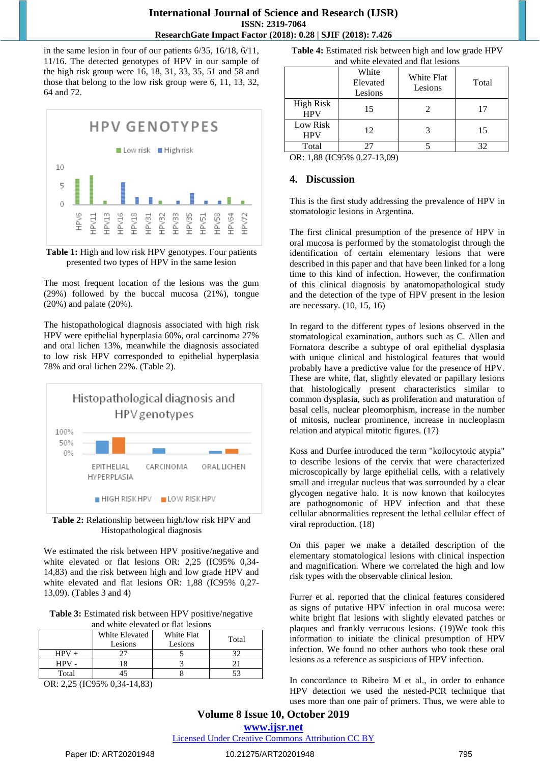in the same lesion in four of our patients 6/35, 16/18, 6/11, 11/16. The detected genotypes of HPV in our sample of the high risk group were 16, 18, 31, 33, 35, 51 and 58 and those that belong to the low risk group were 6, 11, 13, 32, 64 and 72.





The most frequent location of the lesions was the gum (29%) followed by the buccal mucosa (21%), tongue (20%) and palate (20%).

The histopathological diagnosis associated with high risk HPV were epithelial hyperplasia 60%, oral carcinoma 27% and oral lichen 13%, meanwhile the diagnosis associated to low risk HPV corresponded to epithelial hyperplasia 78% and oral lichen 22%. (Table 2).





We estimated the risk between HPV positive/negative and white elevated or flat lesions OR: 2,25 (IC95% 0,34- 14,83) and the risk between high and low grade HPV and white elevated and flat lesions OR: 1,88 (IC95% 0,27- 13,09). (Tables 3 and 4)

**Table 3:** Estimated risk between HPV positive/negative and white elevated or flat lesions

|         | White Elevated<br>Lesions | White Flat<br>Lesions | Total |  |
|---------|---------------------------|-----------------------|-------|--|
|         |                           |                       |       |  |
| $HPV +$ |                           |                       | 20    |  |
| $HPV -$ |                           |                       |       |  |
| Total   |                           |                       |       |  |

OR: 2,25 (IC95% 0,34-14,83)

**Table 4:** Estimated risk between high and low grade HPV and white elevated and flat lesions

|                                | White<br>Elevated<br>Lesions | White Flat<br>Lesions | Total |
|--------------------------------|------------------------------|-----------------------|-------|
| <b>High Risk</b><br><b>HPV</b> | 15                           |                       | 17    |
| Low Risk<br><b>HPV</b>         | 12                           |                       | 15    |
| Total                          | 27                           |                       | 32    |

OR: 1,88 (IC95% 0,27-13,09)

## **4. Discussion**

This is the first study addressing the prevalence of HPV in stomatologic lesions in Argentina.

The first clinical presumption of the presence of HPV in oral mucosa is performed by the stomatologist through the identification of certain elementary lesions that were described in this paper and that have been linked for a long time to this kind of infection. However, the confirmation of this clinical diagnosis by anatomopathological study and the detection of the type of HPV present in the lesion are necessary. (10, 15, 16)

In regard to the different types of lesions observed in the stomatological examination, authors such as C. Allen and Fornatora describe a subtype of oral epithelial dysplasia with unique clinical and histological features that would probably have a predictive value for the presence of HPV. These are white, flat, slightly elevated or papillary lesions that histologically present characteristics similar to common dysplasia, such as proliferation and maturation of basal cells, nuclear pleomorphism, increase in the number of mitosis, nuclear prominence, increase in nucleoplasm relation and atypical mitotic figures. (17)

Koss and Durfee introduced the term "koilocytotic atypia" to describe lesions of the cervix that were characterized microscopically by large epithelial cells, with a relatively small and irregular nucleus that was surrounded by a clear glycogen negative halo. It is now known that koilocytes are pathognomonic of HPV infection and that these cellular abnormalities represent the lethal cellular effect of viral reproduction. (18)

On this paper we make a detailed description of the elementary stomatological lesions with clinical inspection and magnification. Where we correlated the high and low risk types with the observable clinical lesion.

Furrer et al. reported that the clinical features considered as signs of putative HPV infection in oral mucosa were: white bright flat lesions with slightly elevated patches or plaques and frankly verrucous lesions. (19)We took this information to initiate the clinical presumption of HPV infection. We found no other authors who took these oral lesions as a reference as suspicious of HPV infection.

In concordance to Ribeiro M et al., in order to enhance HPV detection we used the nested-PCR technique that uses more than one pair of primers. Thus, we were able to

## **Volume 8 Issue 10, October 2019 www.ijsr.net**

Licensed Under Creative Commons Attribution CC BY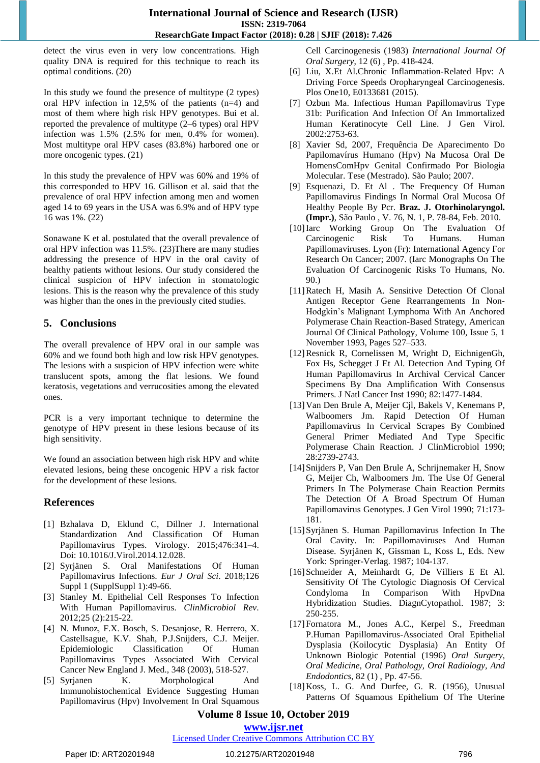detect the virus even in very low concentrations. High quality DNA is required for this technique to reach its optimal conditions. (20)

In this study we found the presence of multitype (2 types) oral HPV infection in 12,5% of the patients (n=4) and most of them where high risk HPV genotypes. Bui et al. reported the prevalence of multitype (2–6 types) oral HPV infection was 1.5% (2.5% for men, 0.4% for women). Most multitype oral HPV cases (83.8%) harbored one or more oncogenic types. (21)

In this study the prevalence of HPV was 60% and 19% of this corresponded to HPV 16. Gillison et al. said that the prevalence of oral HPV infection among men and women aged 14 to 69 years in the USA was 6.9% and of HPV type 16 was 1%. (22)

Sonawane K et al. postulated that the overall prevalence of oral HPV infection was 11.5%. (23)There are many studies addressing the presence of HPV in the oral cavity of healthy patients without lesions. Our study considered the clinical suspicion of HPV infection in stomatologic lesions. This is the reason why the prevalence of this study was higher than the ones in the previously cited studies.

# **5. Conclusions**

The overall prevalence of HPV oral in our sample was 60% and we found both high and low risk HPV genotypes. The lesions with a suspicion of HPV infection were white translucent spots, among the flat lesions. We found keratosis, vegetations and verrucosities among the elevated ones.

PCR is a very important technique to determine the genotype of HPV present in these lesions because of its high sensitivity.

We found an association between high risk HPV and white elevated lesions, being these oncogenic HPV a risk factor for the development of these lesions.

# **References**

- [1] Bzhalava D, Eklund C, Dillner J. International Standardization And Classification Of Human Papillomavirus Types. Virology. 2015;476:341–4. Doi: 10.1016/J.Virol.2014.12.028.
- [2] [Syrjänen](https://www.ncbi.nlm.nih.gov/pubmed/?term=Syrj%26%23x000e4%3Bnen%20S%5BAuthor%5D&cauthor=true&cauthor_uid=30178562) S. Oral Manifestations Of Human Papillomavirus Infections. *Eur J Oral Sci*. 2018;126 Suppl 1 (SupplSuppl 1):49-66.
- [3] Stanley M. Epithelial Cell Responses To Infection With Human Papillomavirus. *ClinMicrobiol Rev*. 2012;25 (2):215-22.
- [4] N. Munoz, F.X. Bosch, S. Desanjose, R. Herrero, X. Castellsague, K.V. Shah, P.J.Snijders, C.J. Meijer. Epidemiologic Classification Of Human Papillomavirus Types Associated With Cervical Cancer New England J. Med., 348 (2003), 518-527.
- [5] Syrjanen K. Morphological And Immunohistochemical Evidence Suggesting Human Papillomavirus (Hpv) Involvement In Oral Squamous

Cell Carcinogenesis (1983) *International Journal Of Oral Surgery*, 12 (6) , Pp. 418-424.

- [6] Liu, X.Et Al.Chronic Inflammation-Related Hpv: A Driving Force Speeds Oropharyngeal Carcinogenesis. Plos One10, E0133681 (2015).
- [7] Ozbun Ma. Infectious Human Papillomavirus Type 31b: Purification And Infection Of An Immortalized Human Keratinocyte Cell Line. J Gen Virol. 2002:2753-63.
- [8] Xavier Sd, 2007, Frequência De Aparecimento Do Papilomavírus Humano (Hpv) Na Mucosa Oral De HomensComHpv Genital Confirmado Por Biologia Molecular. Tese (Mestrado). São Paulo; 2007.
- [9] Esquenazi, D. Et Al . The Frequency Of Human Papillomavirus Findings In Normal Oral Mucosa Of Healthy People By Pcr. **Braz. J. Otorhinolaryngol. (Impr.)**, São Paulo , V. 76, N. 1, P. 78-84, Feb. 2010.
- [10]Iarc Working Group On The Evaluation Of Carcinogenic Risk To Humans. Human Papillomaviruses. Lyon (Fr): International Agency For Research On Cancer; 2007. (Iarc Monographs On The Evaluation Of Carcinogenic Risks To Humans, No. 90.)
- [11]Ratech H, Masih A. Sensitive Detection Of Clonal Antigen Receptor Gene Rearrangements In Non-Hodgkin's Malignant Lymphoma With An Anchored Polymerase Chain Reaction-Based Strategy, American Journal Of Clinical Pathology, Volume 100, Issue 5, 1 November 1993, Pages 527–533.
- [12]Resnick R, Cornelissen M, Wright D, EichnigenGh, Fox Hs, Schegget J Et Al. Detection And Typing Of Human Papillomavirus In Archival Cervical Cancer Specimens By Dna Amplification With Consensus Primers. J Natl Cancer Inst 1990; 82:1477-1484.
- [13]Van Den Brule A, Meijer Cjl, Bakels V, Kenemans P, Walboomers Jm. Rapid Detection Of Human Papillomavirus In Cervical Scrapes By Combined General Primer Mediated And Type Specific Polymerase Chain Reaction. J ClinMicrobiol 1990; 28:2739-2743.
- [14]Snijders P, Van Den Brule A, Schrijnemaker H, Snow G, Meijer Ch, Walboomers Jm. The Use Of General Primers In The Polymerase Chain Reaction Permits The Detection Of A Broad Spectrum Of Human Papillomavirus Genotypes. J Gen Virol 1990; 71:173- 181.
- [15[\]Syrjänen](https://www.ncbi.nlm.nih.gov/pubmed/?term=Syrj%26%23x000e4%3Bnen%20S%5BAuthor%5D&cauthor=true&cauthor_uid=30178562) S. Human Papillomavirus Infection In The Oral Cavity. In: Papillomaviruses And Human Disease. [Syrjänen](https://www.ncbi.nlm.nih.gov/pubmed/?term=Syrj%26%23x000e4%3Bnen%20S%5BAuthor%5D&cauthor=true&cauthor_uid=30178562) K, Gissman L, Koss L, Eds. New York: Springer-Verlag. 1987; 104-137.
- [16]Schneider A, Meinhardt G, De Villiers E Et Al. Sensitivity Of The Cytologic Diagnosis Of Cervical Condyloma In Comparison With HpvDna Hybridization Studies. DiagnCytopathol. 1987; 3: 250-255.
- [17]Fornatora M., Jones A.C., Kerpel S., Freedman P.Human Papillomavirus-Associated Oral Epithelial Dysplasia (Koilocytic Dysplasia) An Entity Of Unknown Biologic Potential (1996) *Oral Surgery, Oral Medicine, Oral Pathology, Oral Radiology, And Endodontics*, 82 (1) , Pp. 47-56.
- [18] Koss, L. G. And Durfee, G. R. (1956), Unusual Patterns Of Squamous Epithelium Of The Uterine

# **Volume 8 Issue 10, October 2019**

**www.ijsr.net**

## Licensed Under Creative Commons Attribution CC BY